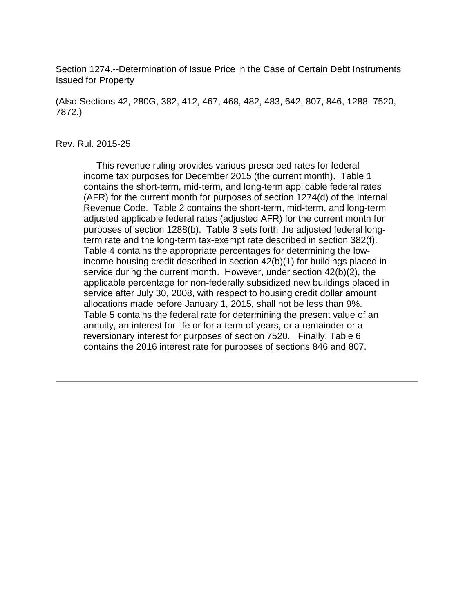Section 1274.--Determination of Issue Price in the Case of Certain Debt Instruments Issued for Property

(Also Sections 42, 280G, 382, 412, 467, 468, 482, 483, 642, 807, 846, 1288, 7520, 7872.)

### Rev. Rul. 2015-25

 This revenue ruling provides various prescribed rates for federal income tax purposes for December 2015 (the current month). Table 1 contains the short-term, mid-term, and long-term applicable federal rates (AFR) for the current month for purposes of section 1274(d) of the Internal Revenue Code. Table 2 contains the short-term, mid-term, and long-term adjusted applicable federal rates (adjusted AFR) for the current month for purposes of section 1288(b). Table 3 sets forth the adjusted federal longterm rate and the long-term tax-exempt rate described in section 382(f). Table 4 contains the appropriate percentages for determining the lowincome housing credit described in section 42(b)(1) for buildings placed in service during the current month. However, under section 42(b)(2), the applicable percentage for non-federally subsidized new buildings placed in service after July 30, 2008, with respect to housing credit dollar amount allocations made before January 1, 2015, shall not be less than 9%. Table 5 contains the federal rate for determining the present value of an annuity, an interest for life or for a term of years, or a remainder or a reversionary interest for purposes of section 7520. Finally, Table 6 contains the 2016 interest rate for purposes of sections 846 and 807.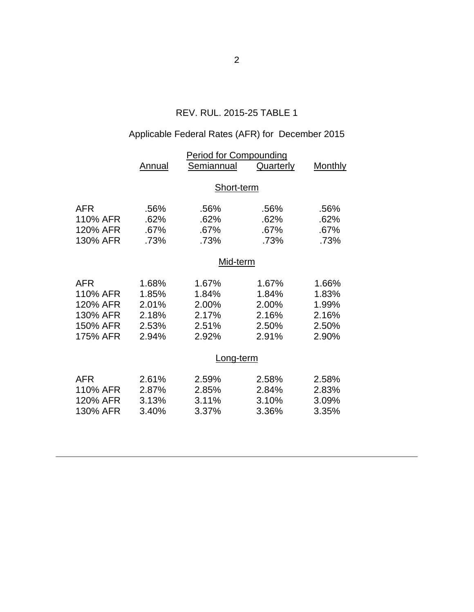## REV. RUL. 2015-25 TABLE 1

## Applicable Federal Rates (AFR) for December 2015

|                                                                        | <u>Period for Compounding</u>                      |                                                    |                                                    |                                                    |  |  |
|------------------------------------------------------------------------|----------------------------------------------------|----------------------------------------------------|----------------------------------------------------|----------------------------------------------------|--|--|
|                                                                        | <b>Annual</b>                                      | Semiannual                                         | <b>Quarterly</b>                                   | <b>Monthly</b>                                     |  |  |
|                                                                        | Short-term                                         |                                                    |                                                    |                                                    |  |  |
| <b>AFR</b><br>110% AFR<br>120% AFR<br>130% AFR                         | .56%<br>.62%<br>.67%<br>.73%                       | .56%<br>.62%<br>.67%<br>.73%                       | .56%<br>.62%<br>.67%<br>.73%                       | .56%<br>.62%<br>.67%<br>.73%                       |  |  |
|                                                                        | Mid-term                                           |                                                    |                                                    |                                                    |  |  |
| <b>AFR</b><br>110% AFR<br>120% AFR<br>130% AFR<br>150% AFR<br>175% AFR | 1.68%<br>1.85%<br>2.01%<br>2.18%<br>2.53%<br>2.94% | 1.67%<br>1.84%<br>2.00%<br>2.17%<br>2.51%<br>2.92% | 1.67%<br>1.84%<br>2.00%<br>2.16%<br>2.50%<br>2.91% | 1.66%<br>1.83%<br>1.99%<br>2.16%<br>2.50%<br>2.90% |  |  |
|                                                                        |                                                    | Long-term                                          |                                                    |                                                    |  |  |
| <b>AFR</b><br>110% AFR<br>120% AFR<br>130% AFR                         | 2.61%<br>2.87%<br>3.13%<br>3.40%                   | 2.59%<br>2.85%<br>3.11%<br>3.37%                   | 2.58%<br>2.84%<br>3.10%<br>3.36%                   | 2.58%<br>2.83%<br>3.09%<br>3.35%                   |  |  |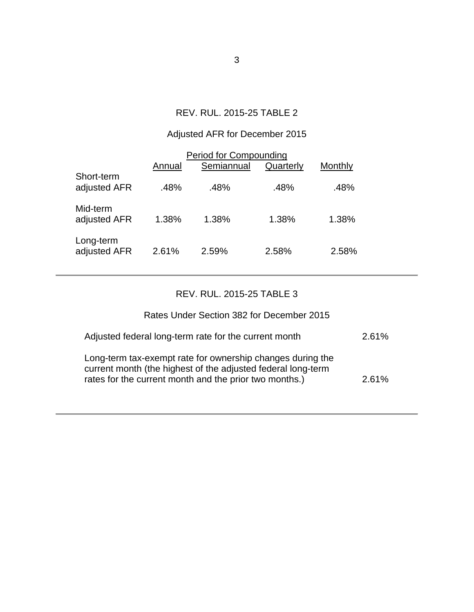## REV. RUL. 2015-25 TABLE 2

## Adjusted AFR for December 2015

| <b>Period for Compounding</b> |        |            |           |         |  |  |
|-------------------------------|--------|------------|-----------|---------|--|--|
|                               | Annual | Semiannual | Quarterly | Monthly |  |  |
| Short-term<br>adjusted AFR    | .48%   | .48%       | .48%      | .48%    |  |  |
| Mid-term<br>adjusted AFR      | 1.38%  | 1.38%      | 1.38%     | 1.38%   |  |  |
| Long-term<br>adjusted AFR     | 2.61%  | 2.59%      | 2.58%     | 2.58%   |  |  |

## REV. RUL. 2015-25 TABLE 3

# Rates Under Section 382 for December 2015

| Adjusted federal long-term rate for the current month                                                                                                                                | 2.61% |
|--------------------------------------------------------------------------------------------------------------------------------------------------------------------------------------|-------|
| Long-term tax-exempt rate for ownership changes during the<br>current month (the highest of the adjusted federal long-term<br>rates for the current month and the prior two months.) | 2.61% |